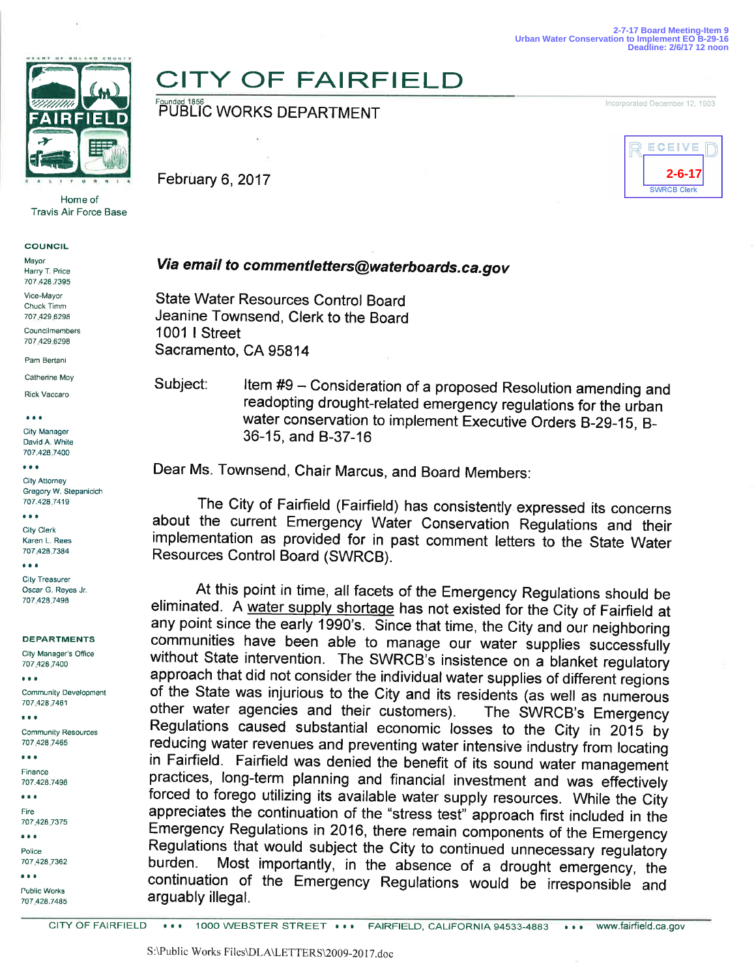

Home of Travis Air Force Base

## **COUNCIL**

Mayor Harry T. Price 707 428 7395

Vice-Mayor Chuck Timm 707 429 6298

Councilmembers 707 429 6298

Pam Bertani

Catherine Moy Rick Vaccaro

aaa

**City Manager** David A. White 707.428 7400

aaa

**City Attorney** Gregory W. Stepanicich 707.428 7419

aaa City Clerk Karen L. Rees 707 428 7384

aaa City Treasurer Oscar G. Reyes Jr. 707.428.7498

DEPARTMENTS

City Manager's Office 707 428 7400 aaa

Community Development 707 428 7461

Communily Resources 707 428 7465

aaa Finance

aaa

707.428.7498

aaa Fire

707 428 7375

aaa Police 707 428 7362

aaa

Public Works 707 428.7485

## **CITY OF FAIRFIELD**

Founded 1856<br>PUBLIC WORKS DEPARTMENT

February 6,2017



Incorporated December 12, 1903

## Via email to commentletters@waterboards.ca.gov

State Water Resources Control Board Jeanine Townsend, Clerk to the Board 1001 I Street Sacramento, CA 95814

Subject: Item #9 - Consideration of a proposed Resolution amending and readopting drought-related emergency regulations for the urban water conservation to implement Executive Orders B-29-15, B-36-15, and 8-37-16

Dear Ms. Townsend, Chair Marcus, and Board Members:

The City of Fairfield (Fairfield) has consistently expressed its concerns about the current Emergency Water Conservation Regulations and their implementation as provided for in past comment letters to the State Water Resources Control Board (SWRCB).

At this point in time, all facets of the Emergency Regulations should be eliminated. A water supply shortage has not existed for the City of Fairfield at any point since the early 1990's. Since that time, the City and our neighboring communities have been able to manage our water supplies successfully without State intervention. The SWRCB's insistence on a blanket regulatory approach that did not consider the individual water supplies of different regions of the State was injurious to the City and its residents (as well as numerous other water agencies and their customers). The SWRCB's Emergency Regulations caused substantial economic losses to the City in 2015 by reducing water revenues and preventing water intensive industry from locating in Fairfield. Fairfield was denied the benefit of its sound water management practices, long-term planning and financial investment and was effectively forced to forego utilizing its available water supply resources. While the City appreciates the continuation of the "stress test" approach first included in the Emergency Regulations in 2016, there remain components of the Emergency burden. Most importantly, in the absence of a drought emergency, the continuation of the Emergency Regulations would be irrespoñsible and arguably illegal.

CITY OF FAIRFIELD ... 1000 WEBSTER STREET ... FAIRFIELD, CALIFORNIA 94533-4883 **...** www.fairfield.ca.gov